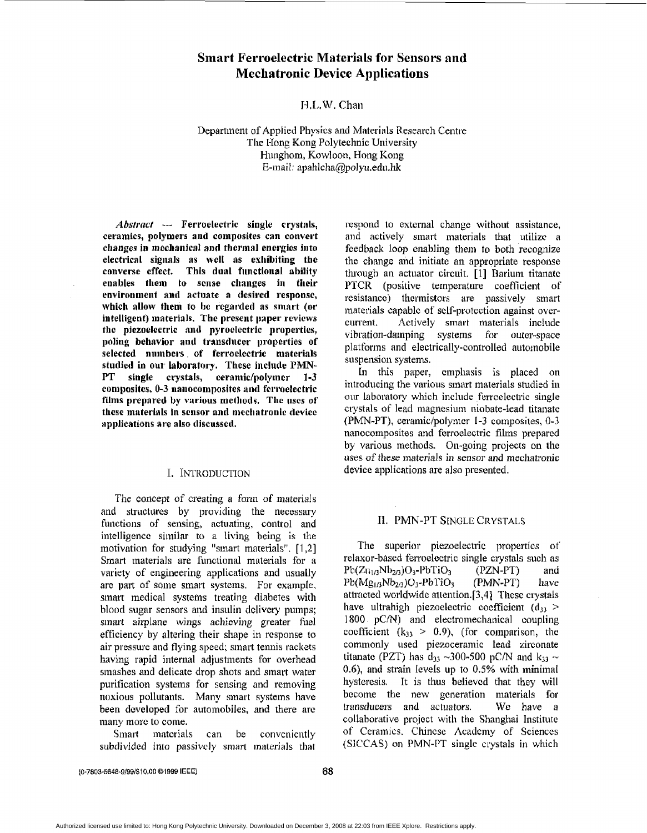# **Smart Ferroelectric Materials for Sensors and Mechatronic Device Applications**

# **J-I.L.W.** Chau

Departincnt of Applied **Physics** and Materials Research Centre The Hong Kong Polytechnic University Hunghorn, Kowloon. Hong Kong E-mail: apahlcha@polyu.edu.hk

*Absfract* --- **Ferroelectric single crystals, ceramics, polyniers and conipositcs can cotivcrt**  changes in mechanical and thermal energies into **clectricnl sigiinls RS wclt as exhibiting thc**  converse effect. This dual functional ability **enables them to scnsc changes iii tlicir**  environment and actuate a desired response, **which allow thein to be rcgarded as smart (or**  intelligent) materials. The present paper reviews **tlic piezoelectric iird pyroclcctric properties, poliug behavior aid** transducer **properties of**   $s$ elected numbers of ferroclectric materials studied in our laboratory. These include PMN-**PT single crystals, ceramidpolytncr 1-3 composites, 0-3 mnocomposites and ferroelectric**  films prepared by various methods. The uses of **thcsc materials in sciisor aid mcctiatronic dcvicc spplications are also discussed,** 

# I. INTRODUCTION

The concept of creating a form of materials and structures by providing the necessary functions of sensing, actuating, control and intelligence similar to a living being is the motivation for studying "smart materials". [ 1,Zj Smart materials are functional materials for a variety of engineering applications and usually are part of some smart systems. For example, sinart medical systems treating diabetes with blood sugar sensors and insulin delivery pumps; sinart airplane **wings** achieving greater fuel efficiency by altering their shape in response to air pressure **and** flying speed; sinart tennis rackets having rapid internal adjustments for overhead smashes **and** delicate drop shots and sinart water purification systems for sensing and removing **noxious** pollutants. Many sinart systems have been developed for automobiles, and there are many more to come.

**Smart** materials can be conveniently subdivided into passively smart materials that

respond to external change without assistance, **and** activcly sinart **materials** that utilize a **fccdbnck loop** enabling them **to** both recognize the change and initiate an appropriate response through an actuator circuit. [1] Barium titanate **PTCR** (positive temperature coefficient **of**  resistance) thermistors are passively smart materials capable of self-protection against overcurrent, Actively **smart** materials include vibration-damping systems for outer-space platforms and electrically-controlled automobile suspension systems.

**Ln** this **paper,** cinphnsis is placed on introducing the various sinart malerials **studied** in our laboratory which include ferroelectric single crystals of lead magnesium niobate-lead titanate (PMN-PT), cerarnic/polymcr 1-3 composites, 0-3 nanocomposites and ferroelectric films prepared by various methods. **On-going** projects on tlic uses of these materials in sensor and mechatronic device applications are also presented.

# **11.** PMN-PT SINGLE CRYSTALS

The superior piezoelectric properties of relaxor-based ferroelectric single crystals such as  $Pb(Z_{11/3}Nb_{2/3})O_3-PbTiO_3$  (PZN-PT) and l'b(Mg **I** ,jNb2,3 **)U3 -Pb?'i O3** (PMN-PT) 11 ave attmcted worldwide allention.[3,41 These **crystals**  have ultrahigh piezoelectric coefficient  $(d_{33}$  >  $1800 \cdot pC/N$  and electromechanical coupling coefficient  $(k_{33} > 0.9)$ , (for comparison, the commonly used piezoceramic lead zirconate titanate (PZT) has  $d_{33} \sim 300-500$  pC/N and  $k_{33} \sim$ **0.6),** and strain levels up to 0.5% with **ininiinal**  hysteresis. It is thus believcd that they will become the **new** gcncration materials for transducers and *actuators.* We have a collaborative project with the Shanghai Institute of Ceramics. Chincsc Academy of Scienccs **(SICCAS)** on PMN-PT single crystals in which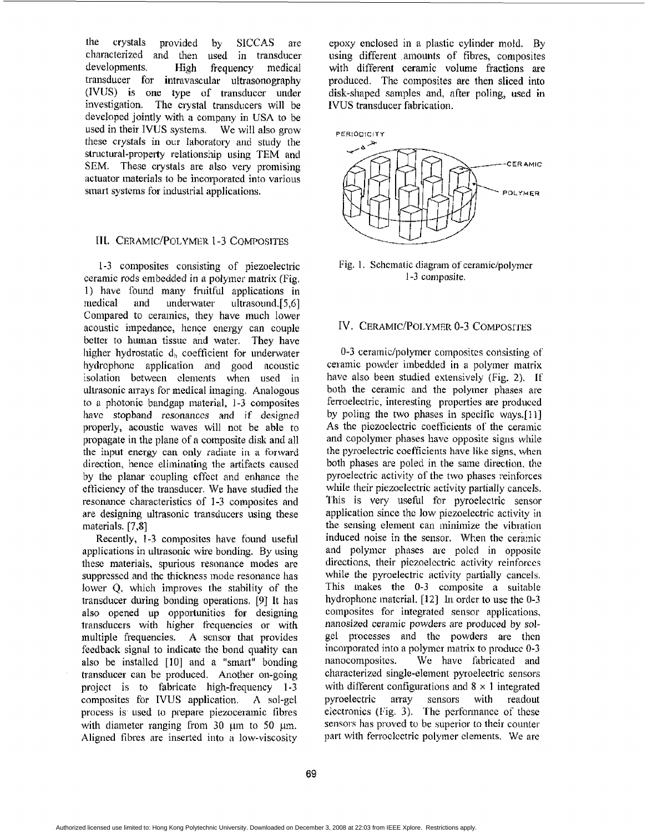the crystals provided by SICCAS are characterized **and** then used in transducer developments. High frequency **medical**  transducer for intravascular ultrasonography **(IVLJS)** is **one type** of transducer **under**  investigation. The crystal transducers will be developed jointly with **a** company in USA to be used in **their** IVlJS systems. We will also grow these crystals in our laboratory and study the structural-property relationship using TEM and SEM. These crystals are **also** very promising actuator materials to be incorporated into various smart systems for industrial applications.

#### **III. CERAMIC/POLYMER 1-3 COMPOSITES**

1-3 composites consisting of piezoelectric ceramic rods embedded in a polymer matrix (Fig. 1) have found many fruitful applications in medical and underwater ultrasound. [5,6] Compared to ceramics, they have much lower acoustic impedance, hence energy can couple bcltei to human tissue and watcr. **They** have higher hydrostatic  $d_h$  coefficient for underwater hydrophone application and good acoustic isolation between elements when used in ultrasonic arrays for medical imaging. Analogous to photonic bandgap **materinl,** 1-3 composites **liavc** stopband rcsonanccs and if designed propcrly, acoustic waves will not be able to propagate in the plane of **R** composite disk and all the input energy can only radiate in a **forward**  direction, hence eliminating the artifacts caused by the planar coupling effect and enhance the cfticicncy of the transducer. **We have** studied *the*  resonance characteristics of 1-3 composites and are designing ultrasonic transducers using these materials. [7,8]

Recently, 1-3 composites have found useful applications in ultrasonic wire bonding. By using these materials, spurious resonance modes are suppressed and the thickness mode resonance has lower Q, which improves the stability of the transducer during bonding operations. [9] It has also opened up opportunities **for** designing transducers with higher frequencies or with multiple frequencies. A sensor that provides feedback signal to indicatc thc bond quality can also be installed [10] and a "smart" bonding **transducer** can be produced. Another on-going project is to fabricate high-frequency 1-3 composites for IVUS application. **A** sol-gel process is used to **prepare** piezoceiamic iibrcs with diameter ranging from 30 um to 50 um. Aligned fibres are inserted into a low-viscosity

epoxy enclosed in a plastic cylinder mold. By using different ,amounts of fibres, composites with different **ceramic** volume Eractions *arc*  produccd. The composites **are** then sliced into **disk-shaped** samples and, **after** poling, **used** in **IVUS** transducer fabrication.



Fig. 1. Schematic diagram of ceramic/polymer 1-3 composite.

# IV. CERAMIC/POLYMER 0-3 COMPOSITES

0-3 ceramic/polymer composites consisting of ceianiic powder imbedded in **a** polyincr **matrix**  have also been studied extensively (Fig. 2). If both the ceramic and the polymer **phases** are ferroelectric, interesting properties are produced by poling the two phases in specific ways.[11] As the piezoelectric coefficients of the ceramic and copolymer **phases** havc opposite signs while the pyroelectric coefficients have like signs, when both phases are poled in the same direction, the pyroelectric activity **O€** the **two** phases reinforces while their piezoelectric activity partially cancels. **?'his** is very useful for pyroelectric sensor application since thc low piezoelectric activily **in**  the sensing element can minimize the vibration induced noise in the sensor. When the ceramic and polymer phases are poled in opposite directions, their piczoelectric activity reinforces while the pyroelectric activity partially cancels. This makes the 0-3 composite a suitable hydrophone material. [12] In order to use the 0-3 composites for integrated sensor applications, nanosized ceramic powders *are* produced by solgel processes and thc **powders** are then incoiporatcd into a polymer matrix to produce **0-3**  nanocompositcs. Wc havc fabricated and characterized single-clement pyroelectric sensors with different configurations and **S x** 1 integrated pyroelectric array sensors with readout **electronics** (Fig. **3). I** he perforinancc of' thcse sensors **has** proved to be superior to thcir counter part with **fcrroclcctric** polyincr dements. We *me*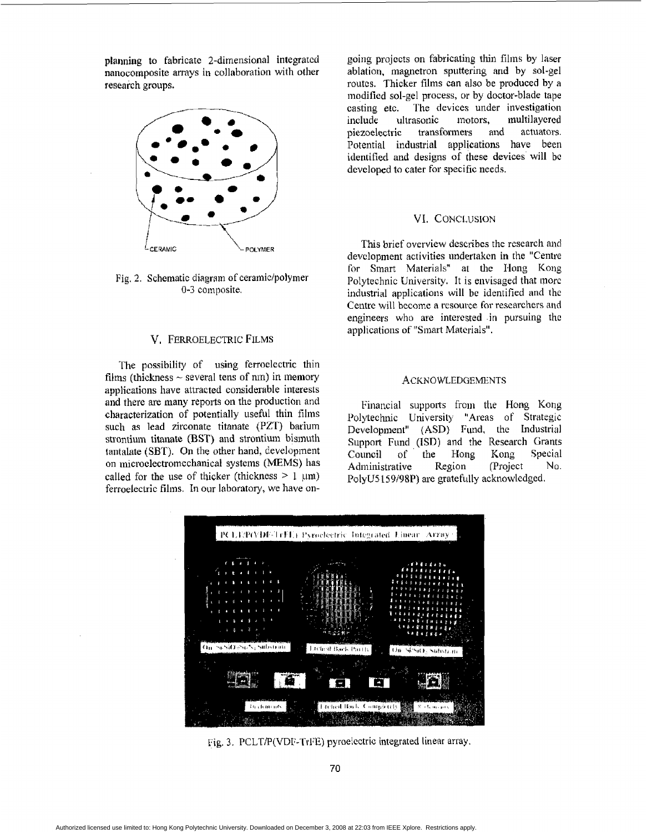**planning** to fabricatc 2-dimensional integratcd nanocomposite arrays in collaboration with other **research** groups.



Fig. 2. Schematic diagram of ceramic/polymer **0-3** composite.

# V, FERROELECTRIC FILMS

The possibility of using ferroelectric thin films (thickness  $\sim$  several tens of nm) in memory applications have attracted considerable interests **and** there **are** many reports on the production and characterization of potentially useful thin films such as **lead** zirconate titanate (PZT) barium strontium titanate (BST) and strontium bismuth tantalate (SBT). On the other hand, development on microelectromechanical systems (MEMS) has called for the use of thicker (thickness  $> 1 \mu m$ ) ferroelectric films. In our laboratory, **we** have an-

going pmjccts on fabricating Thin films **by** laser ablation, magnetron sputtering and **by** sol-gel routes. Thicker films can also be **produced** by a **modified** sol-gel process, or **by** doctor-blade **tape**  casting **etc.** The devices under investigation sonic motors, multilayered<br>transformers and actuators. piezoelectric Potential industrial applications have been identified **and** designs of **these devices' will** bc **dcveloped** to cater for specific **needs.** 

### VI. CONCLUSION

This brief overview describes the research and devclopinent activities undertaken in **the** "Centre for Smart Materials" at the Hong Kong Polytechnic University. It is envisaged that more industrial applications **will** bc identified nnd **the**  Centre will became a resource for researchers and engineers who **are** interested -in pursuing thc applications of "Smart Materials".

#### ACKNOWLEDGEMENTS

Financial **suppoizs** from the Hong Kong Polytechnic University "Areas of Strategic Development" **(ASD}** Fund, the Industrial Support Fund (ISD) and the Research Grants<br>Council of the Hong Kong Special Council of the Hong Administrative Region (Project No. PolyUS **159198P) are gratefully** acknowledgcd.



Fig. 3, PCLT/P(VDI;-TrIX) pyroeicctric **integrated** linear array.

**70**